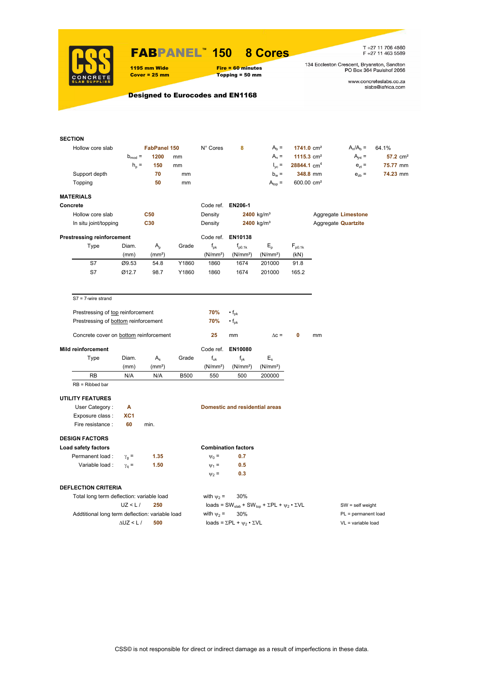

## FABPANEL**™ 150 8 Cores**

1195 mm Wide Fire = 60 minutes<br>
Cover = 25 mm Topping = 50 mm  $Topping = 50$  mm

T +27 11 706 4560<br>F +27 11 463 5589

134 Eccleston Crescent, Bryanston, Sandton<br>PO Box 364 Paulshof 2056

www.concreteslabs.co.za<br>slabs@iafrica.com

## Designed to Eurocodes and EN1168

| <b>SECTION</b>                                  |                   |                     |                 |                      |                                                |                                                                                         |                         |                    |                            |                        |  |
|-------------------------------------------------|-------------------|---------------------|-----------------|----------------------|------------------------------------------------|-----------------------------------------------------------------------------------------|-------------------------|--------------------|----------------------------|------------------------|--|
| Hollow core slab                                |                   | <b>FabPanel 150</b> |                 | N° Cores             | 8                                              | $Ab =$                                                                                  | $1741.0 \text{ cm}^2$   |                    | $A_n/A_b =$                | 64.1%                  |  |
|                                                 | $b_{mod}$ =       | 1200                | mm              |                      |                                                | $A_n =$                                                                                 | 1115.3 $cm2$            |                    | $A_{int} =$                | $57.2$ cm <sup>2</sup> |  |
|                                                 | $h_{p}$ =         | 150                 | mm              |                      |                                                | $I_{\rm vc} =$                                                                          | 28844.1 cm <sup>4</sup> |                    | $e_{71} =$                 | 75.77 mm               |  |
| Support depth                                   |                   | 70                  | mm              |                      |                                                | $b_w =$                                                                                 |                         | 348.8 mm           | $e_{zb}$ =                 | 74.23 mm               |  |
| Topping                                         |                   | 50                  | mm              |                      |                                                | $A_{top} =$                                                                             | 600.00 cm <sup>2</sup>  |                    |                            |                        |  |
| <b>MATERIALS</b>                                |                   |                     |                 |                      |                                                |                                                                                         |                         |                    |                            |                        |  |
| Concrete                                        |                   |                     |                 | Code ref. EN206-1    |                                                |                                                                                         |                         |                    |                            |                        |  |
| Hollow core slab                                |                   | <b>C50</b>          |                 | Density              |                                                | $2400$ kg/m <sup>3</sup>                                                                |                         |                    | Aggregate Limestone        |                        |  |
| In situ joint/topping                           |                   | C30                 |                 | Density              |                                                | $2400 \text{ kg/m}^3$                                                                   |                         |                    | Aggregate <b>Quartzite</b> |                        |  |
|                                                 |                   |                     |                 |                      |                                                |                                                                                         |                         |                    |                            |                        |  |
| <b>Prestressing reinforcement</b>               |                   |                     |                 |                      | Code ref. EN10138                              |                                                                                         |                         |                    |                            |                        |  |
| Type                                            | Diam.             | $A_{p}$             | Grade           | $f_{\rm pk}$         | $f_{p0.1k}$                                    | $E_{\rm p}$                                                                             | $F_{p0.1k}$             |                    |                            |                        |  |
|                                                 | (mm)              | (mm <sup>2</sup> )  |                 | (N/mm <sup>2</sup> ) | (N/mm <sup>2</sup> )                           | (N/mm <sup>2</sup> )                                                                    | (kN)                    |                    |                            |                        |  |
| S7                                              | Ø9.53             | 54.8                | Y1860           | 1860                 | 1674                                           | 201000                                                                                  | 91.8                    |                    |                            |                        |  |
| S7                                              | Ø12.7             | 98.7                | Y1860           | 1860                 | 1674                                           | 201000                                                                                  | 165.2                   |                    |                            |                        |  |
| $S7 = 7$ -wire strand                           |                   |                     |                 |                      |                                                |                                                                                         |                         |                    |                            |                        |  |
| Prestressing of top reinforcement               |                   |                     |                 | 70%                  | $\cdot f_{\sf pk}$                             |                                                                                         |                         |                    |                            |                        |  |
| Prestressing of bottom reinforcement            |                   |                     |                 | 70%                  | $\cdot f_{\sf pk}$                             |                                                                                         |                         |                    |                            |                        |  |
|                                                 |                   |                     |                 |                      |                                                |                                                                                         |                         |                    |                            |                        |  |
| Concrete cover on bottom reinforcement          |                   |                     |                 | 25                   | mm                                             | $\Delta c =$                                                                            | 0                       | mm                 |                            |                        |  |
| <b>Mild reinforcement</b>                       |                   |                     |                 |                      | Code ref. EN10080                              |                                                                                         |                         |                    |                            |                        |  |
| Type                                            | Diam.             | $A_{s}$             | Grade           | $f_{uk}$             | $f_{\mathsf{vk}}$                              | $E_{s}$                                                                                 |                         |                    |                            |                        |  |
|                                                 | (mm)              | (mm <sup>2</sup> )  |                 | (N/mm <sup>2</sup> ) | (N/mm <sup>2</sup> )                           | (N/mm <sup>2</sup> )                                                                    |                         |                    |                            |                        |  |
| <b>RB</b>                                       | N/A               | N/A                 | <b>B500</b>     | 550                  | 500                                            | 200000                                                                                  |                         |                    |                            |                        |  |
| $RB = Ribbed bar$                               |                   |                     |                 |                      |                                                |                                                                                         |                         |                    |                            |                        |  |
| <b>UTILITY FEATURES</b>                         |                   |                     |                 |                      |                                                |                                                                                         |                         |                    |                            |                        |  |
| User Category:                                  | Α                 |                     |                 |                      | <b>Domestic and residential areas</b>          |                                                                                         |                         |                    |                            |                        |  |
| Exposure class:                                 | XC <sub>1</sub>   |                     |                 |                      |                                                |                                                                                         |                         |                    |                            |                        |  |
| Fire resistance :                               | 60                | min.                |                 |                      |                                                |                                                                                         |                         |                    |                            |                        |  |
| <b>DESIGN FACTORS</b>                           |                   |                     |                 |                      |                                                |                                                                                         |                         |                    |                            |                        |  |
| Load safety factors                             |                   |                     |                 |                      | <b>Combination factors</b>                     |                                                                                         |                         |                    |                            |                        |  |
| Permanent load :                                | $\gamma_{q} =$    | 1.35                |                 | $\Psi_0 =$           | 0.7                                            |                                                                                         |                         |                    |                            |                        |  |
| Variable load:                                  | $\gamma_{q} =$    | 1.50                |                 | $\Psi_1 =$           | 0.5                                            |                                                                                         |                         |                    |                            |                        |  |
|                                                 |                   |                     |                 | $\Psi_2 =$           | 0.3                                            |                                                                                         |                         |                    |                            |                        |  |
| <b>DEFLECTION CRITERIA</b>                      |                   |                     |                 |                      |                                                |                                                                                         |                         |                    |                            |                        |  |
| Total long term deflection: variable load       |                   |                     | with $\psi_2$ = | 30%                  |                                                |                                                                                         |                         |                    |                            |                        |  |
|                                                 | UZ < L/           | 250                 |                 |                      |                                                | loads = SW <sub>slab</sub> + SW <sub>top</sub> + $\Sigma$ PL + $\psi_2 \cdot \Sigma$ VL |                         | $SW = self weight$ |                            |                        |  |
| Addtitional long term deflection: variable load |                   |                     |                 | with $\psi_2$ =      | 30%                                            |                                                                                         |                         |                    | PL = permanent load        |                        |  |
|                                                 | $\Delta$ UZ < L / | 500                 |                 |                      | loads = $\Sigma$ PL + $\psi_2 \cdot \Sigma$ VL |                                                                                         |                         |                    | VL = variable load         |                        |  |
|                                                 |                   |                     |                 |                      |                                                |                                                                                         |                         |                    |                            |                        |  |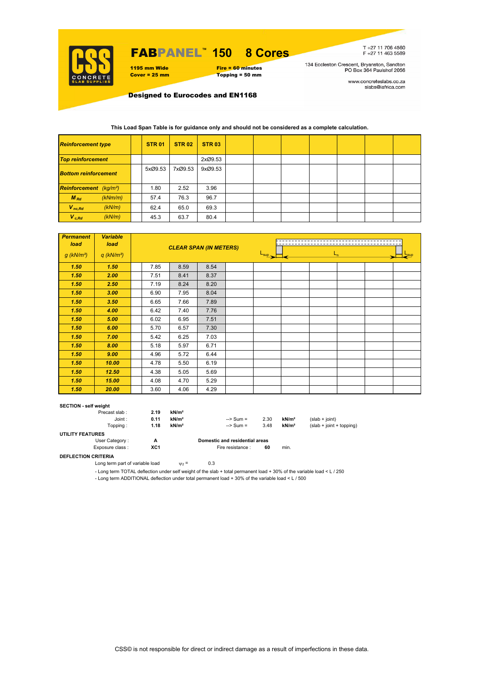

# FABPANEL**™ 150 8 Cores**

#### 1195 mm Wide Fire = 60 minutes<br>
Cover = 25 mm Topping = 50 mm Topping = 50 mm

T+27 11 706 4560<br>F+27 11 463 5589

134 Eccleston Crescent, Bryanston, Sandton<br>PO Box 364 Paulshof 2056

www.concreteslabs.co.za<br>slabs@iafrica.com

Designed to Eurocodes and EN1168

### **This Load Span Table is for guidance only and should not be considered as a complete calculation.**

| <b>Reinforcement type</b>                 |         | <b>STR 01</b> | <b>STR 02</b> | <b>STR 03</b> |  |  |  |  |
|-------------------------------------------|---------|---------------|---------------|---------------|--|--|--|--|
| <b>Top reinforcement</b>                  |         |               |               | 2xØ9.53       |  |  |  |  |
| <b>Bottom reinforcement</b>               |         | 5xØ9.53       | 7xØ9.53       | 9xØ9.53       |  |  |  |  |
| <b>Reinforcement</b> (kg/m <sup>2</sup> ) |         | 1.80          | 2.52          | 3.96          |  |  |  |  |
| $M_{Rd}$                                  | (kNm/m) | 57.4          | 76.3          | 96.7          |  |  |  |  |
| $V_{nc,Rd}$                               | (kN/m)  | 62.4          | 65.0          | 69.3          |  |  |  |  |
| $V_{c, Rd}$                               | (kN/m)  | 45.3          | 63.7          | 80.4          |  |  |  |  |

| <b>Permanent</b><br>load | <b>Variable</b><br>load  |      | <b>CLEAR SPAN (IN METERS)</b> |      |                             |  |         |  |  |  |  |
|--------------------------|--------------------------|------|-------------------------------|------|-----------------------------|--|---------|--|--|--|--|
| $g$ (kN/m <sup>2</sup> ) | $q$ (kN/m <sup>2</sup> ) |      |                               |      | $\frac{L_{\sup}}{L_{\sup}}$ |  | $L_{n}$ |  |  |  |  |
| 1.50                     | 1.50                     | 7.85 | 8.59                          | 8.54 |                             |  |         |  |  |  |  |
| 1.50                     | 2.00                     | 7.51 | 8.41                          | 8.37 |                             |  |         |  |  |  |  |
| 1.50                     | 2.50                     | 7.19 | 8.24                          | 8.20 |                             |  |         |  |  |  |  |
| 1.50                     | 3.00                     | 6.90 | 7.95                          | 8.04 |                             |  |         |  |  |  |  |
| 1.50                     | 3.50                     | 6.65 | 7.66                          | 7.89 |                             |  |         |  |  |  |  |
| 1.50                     | 4.00                     | 6.42 | 7.40                          | 7.76 |                             |  |         |  |  |  |  |
| 1.50                     | 5.00                     | 6.02 | 6.95                          | 7.51 |                             |  |         |  |  |  |  |
| 1.50                     | 6.00                     | 5.70 | 6.57                          | 7.30 |                             |  |         |  |  |  |  |
| 1.50                     | 7.00                     | 5.42 | 6.25                          | 7.03 |                             |  |         |  |  |  |  |
| 1.50                     | 8.00                     | 5.18 | 5.97                          | 6.71 |                             |  |         |  |  |  |  |
| 1.50                     | 9.00                     | 4.96 | 5.72                          | 6.44 |                             |  |         |  |  |  |  |
| 1.50                     | 10.00                    | 4.78 | 5.50                          | 6.19 |                             |  |         |  |  |  |  |
| 1.50                     | 12.50                    | 4.38 | 5.05                          | 5.69 |                             |  |         |  |  |  |  |
| 1.50                     | 15.00                    | 4.08 | 4.70                          | 5.29 |                             |  |         |  |  |  |  |
| 1.50                     | 20.00                    | 3.60 | 4.06                          | 4.29 |                             |  |         |  |  |  |  |

#### **SECTION - self weight**

| Precast slab:           | 2.19 | kN/m <sup>2</sup> |                                |      |                   |                            |
|-------------------------|------|-------------------|--------------------------------|------|-------------------|----------------------------|
| Joint:                  | 0.11 | kN/m <sup>2</sup> | $\Rightarrow$ Sum =            | 2.30 | kN/m <sup>2</sup> | $(slab + ioint)$           |
| Topping :               | 1.18 | kN/m <sup>2</sup> | $\Rightarrow$ Sum =            | 3.48 | kN/m <sup>2</sup> | $(slab + joint + topping)$ |
| <b>UTILITY FEATURES</b> |      |                   |                                |      |                   |                            |
| User Category:          | А    |                   | Domestic and residential areas |      |                   |                            |
| Exposure class:         | XC1  |                   | Fire resistance :              | 60   | min.              |                            |

### **DEFLECTION CRITERIA**

Long term part of variable load  $v_2 = 0.3$ 

- Long term TOTAL deflection under self weight of the slab + total permanent load + 30% of the variable load < L / 250

- Long term ADDITIONAL deflection under total permanent load + 30% of the variable load < L / 500